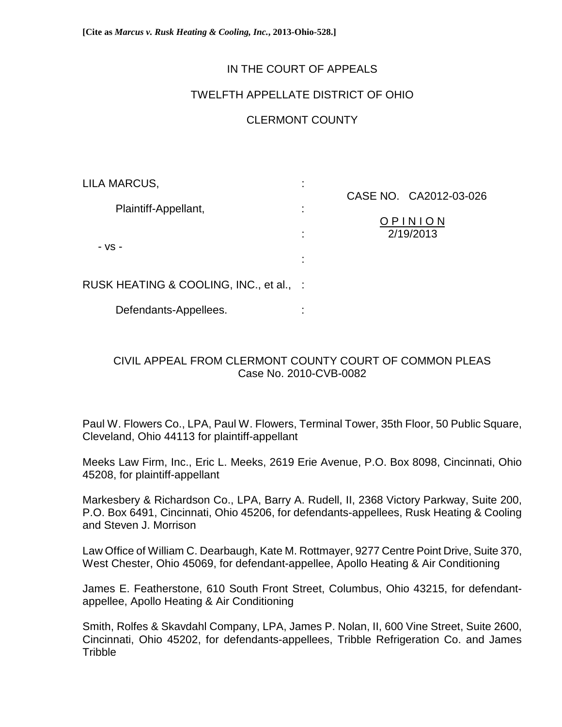**[Cite as** *Marcus v. Rusk Heating & Cooling, Inc.***, 2013-Ohio-528.]**

## IN THE COURT OF APPEALS

## TWELFTH APPELLATE DISTRICT OF OHIO

# CLERMONT COUNTY

| LILA MARCUS,                            | ٠ |                        |
|-----------------------------------------|---|------------------------|
| Plaintiff-Appellant,                    |   | CASE NO. CA2012-03-026 |
|                                         | ÷ | OPINION                |
| - VS -                                  | ÷ | 2/19/2013              |
|                                         |   |                        |
|                                         | ٠ |                        |
| RUSK HEATING & COOLING, INC., et al., : |   |                        |
|                                         |   |                        |
| Defendants-Appellees.                   |   |                        |

## CIVIL APPEAL FROM CLERMONT COUNTY COURT OF COMMON PLEAS Case No. 2010-CVB-0082

Paul W. Flowers Co., LPA, Paul W. Flowers, Terminal Tower, 35th Floor, 50 Public Square, Cleveland, Ohio 44113 for plaintiff-appellant

Meeks Law Firm, Inc., Eric L. Meeks, 2619 Erie Avenue, P.O. Box 8098, Cincinnati, Ohio 45208, for plaintiff-appellant

Markesbery & Richardson Co., LPA, Barry A. Rudell, II, 2368 Victory Parkway, Suite 200, P.O. Box 6491, Cincinnati, Ohio 45206, for defendants-appellees, Rusk Heating & Cooling and Steven J. Morrison

Law Office of William C. Dearbaugh, Kate M. Rottmayer, 9277 Centre Point Drive, Suite 370, West Chester, Ohio 45069, for defendant-appellee, Apollo Heating & Air Conditioning

James E. Featherstone, 610 South Front Street, Columbus, Ohio 43215, for defendantappellee, Apollo Heating & Air Conditioning

Smith, Rolfes & Skavdahl Company, LPA, James P. Nolan, II, 600 Vine Street, Suite 2600, Cincinnati, Ohio 45202, for defendants-appellees, Tribble Refrigeration Co. and James **Tribble**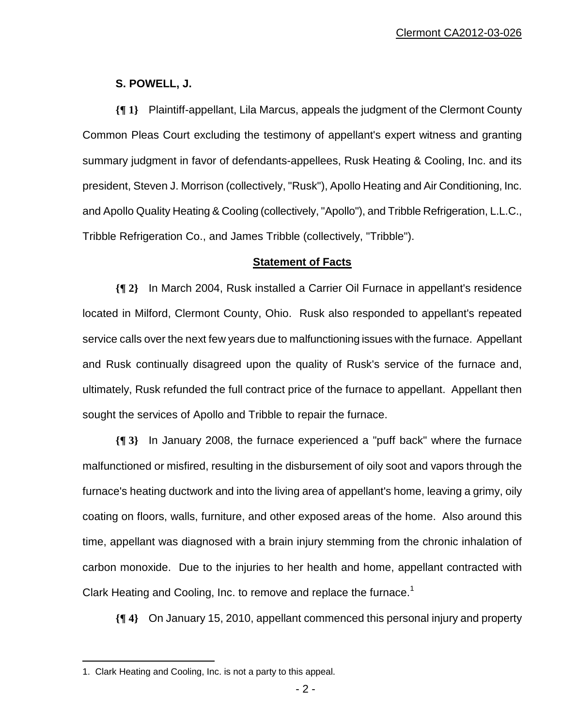## **S. POWELL, J.**

**{¶ 1}** Plaintiff-appellant, Lila Marcus, appeals the judgment of the Clermont County Common Pleas Court excluding the testimony of appellant's expert witness and granting summary judgment in favor of defendants-appellees, Rusk Heating & Cooling, Inc. and its president, Steven J. Morrison (collectively, "Rusk"), Apollo Heating and Air Conditioning, Inc. and Apollo Quality Heating & Cooling (collectively, "Apollo"), and Tribble Refrigeration, L.L.C., Tribble Refrigeration Co., and James Tribble (collectively, "Tribble").

### **Statement of Facts**

**{¶ 2}** In March 2004, Rusk installed a Carrier Oil Furnace in appellant's residence located in Milford, Clermont County, Ohio. Rusk also responded to appellant's repeated service calls over the next few years due to malfunctioning issues with the furnace. Appellant and Rusk continually disagreed upon the quality of Rusk's service of the furnace and, ultimately, Rusk refunded the full contract price of the furnace to appellant. Appellant then sought the services of Apollo and Tribble to repair the furnace.

**{¶ 3}** In January 2008, the furnace experienced a "puff back" where the furnace malfunctioned or misfired, resulting in the disbursement of oily soot and vapors through the furnace's heating ductwork and into the living area of appellant's home, leaving a grimy, oily coating on floors, walls, furniture, and other exposed areas of the home. Also around this time, appellant was diagnosed with a brain injury stemming from the chronic inhalation of carbon monoxide. Due to the injuries to her health and home, appellant contracted with Clark Heating and Cooling, Inc. to remove and replace the furnace.<sup>1</sup>

**{¶ 4}** On January 15, 2010, appellant commenced this personal injury and property

<sup>1.</sup> Clark Heating and Cooling, Inc. is not a party to this appeal.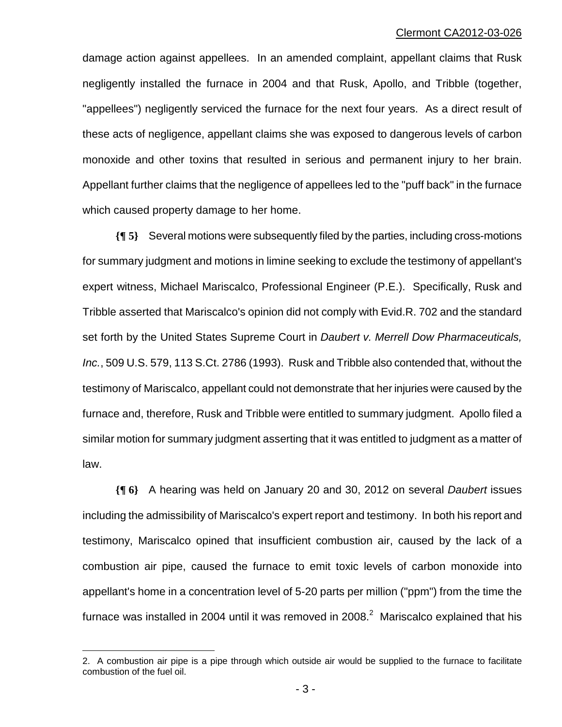damage action against appellees. In an amended complaint, appellant claims that Rusk negligently installed the furnace in 2004 and that Rusk, Apollo, and Tribble (together, "appellees") negligently serviced the furnace for the next four years. As a direct result of these acts of negligence, appellant claims she was exposed to dangerous levels of carbon monoxide and other toxins that resulted in serious and permanent injury to her brain. Appellant further claims that the negligence of appellees led to the "puff back" in the furnace which caused property damage to her home.

**{¶ 5}** Several motions were subsequently filed by the parties, including cross-motions for summary judgment and motions in limine seeking to exclude the testimony of appellant's expert witness, Michael Mariscalco, Professional Engineer (P.E.). Specifically, Rusk and Tribble asserted that Mariscalco's opinion did not comply with Evid.R. 702 and the standard set forth by the United States Supreme Court in *Daubert v. Merrell Dow Pharmaceuticals, Inc.*, 509 U.S. 579, 113 S.Ct. 2786 (1993). Rusk and Tribble also contended that, without the testimony of Mariscalco, appellant could not demonstrate that her injuries were caused by the furnace and, therefore, Rusk and Tribble were entitled to summary judgment. Apollo filed a similar motion for summary judgment asserting that it was entitled to judgment as a matter of law.

**{¶ 6}** A hearing was held on January 20 and 30, 2012 on several *Daubert* issues including the admissibility of Mariscalco's expert report and testimony. In both his report and testimony, Mariscalco opined that insufficient combustion air, caused by the lack of a combustion air pipe, caused the furnace to emit toxic levels of carbon monoxide into appellant's home in a concentration level of 5-20 parts per million ("ppm") from the time the furnace was installed in 2004 until it was removed in 2008. $^2$  Mariscalco explained that his

1

<sup>2.</sup> A combustion air pipe is a pipe through which outside air would be supplied to the furnace to facilitate combustion of the fuel oil.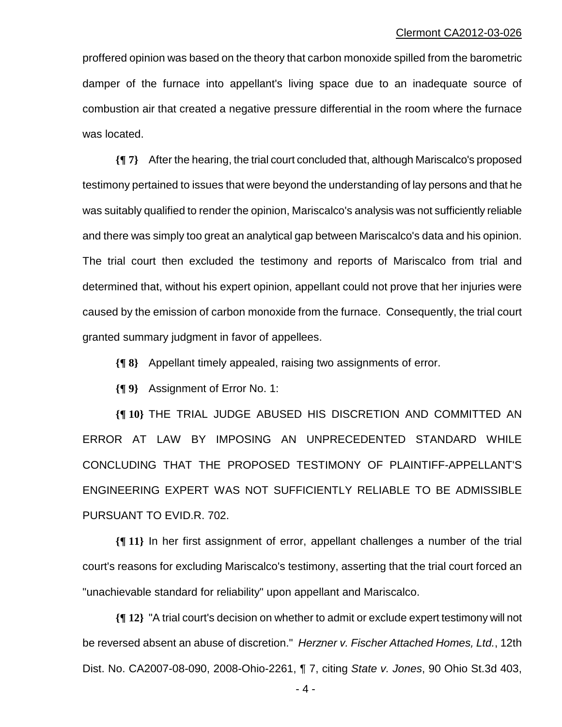proffered opinion was based on the theory that carbon monoxide spilled from the barometric damper of the furnace into appellant's living space due to an inadequate source of combustion air that created a negative pressure differential in the room where the furnace was located.

**{¶ 7}** After the hearing, the trial court concluded that, although Mariscalco's proposed testimony pertained to issues that were beyond the understanding of lay persons and that he was suitably qualified to render the opinion, Mariscalco's analysis was not sufficiently reliable and there was simply too great an analytical gap between Mariscalco's data and his opinion. The trial court then excluded the testimony and reports of Mariscalco from trial and determined that, without his expert opinion, appellant could not prove that her injuries were caused by the emission of carbon monoxide from the furnace. Consequently, the trial court granted summary judgment in favor of appellees.

**{¶ 8}** Appellant timely appealed, raising two assignments of error.

**{¶ 9}** Assignment of Error No. 1:

**{¶ 10}** THE TRIAL JUDGE ABUSED HIS DISCRETION AND COMMITTED AN ERROR AT LAW BY IMPOSING AN UNPRECEDENTED STANDARD WHILE CONCLUDING THAT THE PROPOSED TESTIMONY OF PLAINTIFF-APPELLANT'S ENGINEERING EXPERT WAS NOT SUFFICIENTLY RELIABLE TO BE ADMISSIBLE PURSUANT TO EVID.R. 702.

**{¶ 11}** In her first assignment of error, appellant challenges a number of the trial court's reasons for excluding Mariscalco's testimony, asserting that the trial court forced an "unachievable standard for reliability" upon appellant and Mariscalco.

**{¶ 12}** "A trial court's decision on whether to admit or exclude expert testimony will not be reversed absent an abuse of discretion." *Herzner v. Fischer Attached Homes, Ltd.*, 12th Dist. No. CA2007-08-090, 2008-Ohio-2261, ¶ 7, citing *State v. Jones*, 90 Ohio St.3d 403,

 $-4-$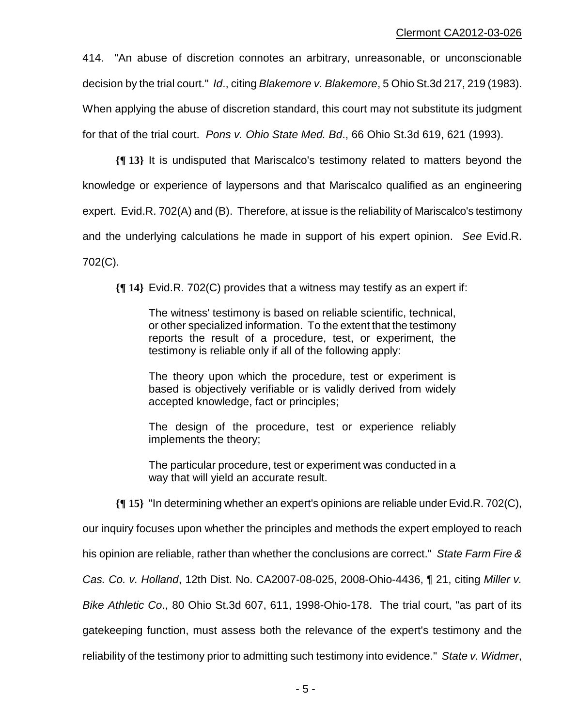414. "An abuse of discretion connotes an arbitrary, unreasonable, or unconscionable decision by the trial court." *Id*., citing *Blakemore v. Blakemore*, 5 Ohio St.3d 217, 219 (1983). When applying the abuse of discretion standard, this court may not substitute its judgment for that of the trial court. *Pons v. Ohio State Med. Bd*., 66 Ohio St.3d 619, 621 (1993).

**{¶ 13}** It is undisputed that Mariscalco's testimony related to matters beyond the knowledge or experience of laypersons and that Mariscalco qualified as an engineering expert. Evid.R. 702(A) and (B). Therefore, at issue is the reliability of Mariscalco's testimony and the underlying calculations he made in support of his expert opinion. *See* Evid.R. 702(C).

**{¶ 14}** Evid.R. 702(C) provides that a witness may testify as an expert if:

The witness' testimony is based on reliable scientific, technical, or other specialized information. To the extent that the testimony reports the result of a procedure, test, or experiment, the testimony is reliable only if all of the following apply:

The theory upon which the procedure, test or experiment is based is objectively verifiable or is validly derived from widely accepted knowledge, fact or principles;

The design of the procedure, test or experience reliably implements the theory;

The particular procedure, test or experiment was conducted in a way that will yield an accurate result.

**{¶ 15}** "In determining whether an expert's opinions are reliable under Evid.R. 702(C),

our inquiry focuses upon whether the principles and methods the expert employed to reach

his opinion are reliable, rather than whether the conclusions are correct." *State Farm Fire &* 

*Cas. Co. v. Holland*, 12th Dist. No. CA2007-08-025, 2008-Ohio-4436, ¶ 21, citing *Miller v.* 

*Bike Athletic Co*., 80 Ohio St.3d 607, 611, 1998-Ohio-178. The trial court, "as part of its

gatekeeping function, must assess both the relevance of the expert's testimony and the

reliability of the testimony prior to admitting such testimony into evidence." *State v. Widmer*,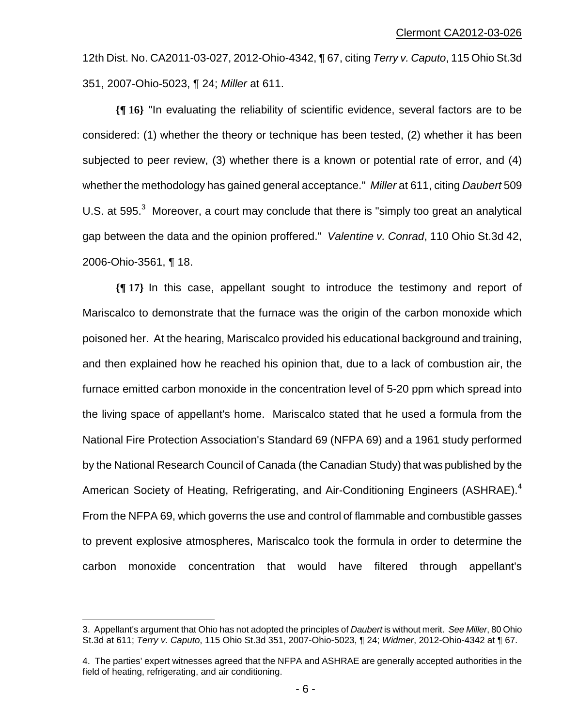12th Dist. No. CA2011-03-027, 2012-Ohio-4342, ¶ 67, citing *Terry v. Caputo*, 115 Ohio St.3d 351, 2007-Ohio-5023, ¶ 24; *Miller* at 611.

**{¶ 16}** "In evaluating the reliability of scientific evidence, several factors are to be considered: (1) whether the theory or technique has been tested, (2) whether it has been subjected to peer review, (3) whether there is a known or potential rate of error, and (4) whether the methodology has gained general acceptance." *Miller* at 611, citing *Daubert* 509 U.S. at 595. $3$  Moreover, a court may conclude that there is "simply too great an analytical gap between the data and the opinion proffered." *Valentine v. Conrad*, 110 Ohio St.3d 42, 2006-Ohio-3561, ¶ 18.

**{¶ 17}** In this case, appellant sought to introduce the testimony and report of Mariscalco to demonstrate that the furnace was the origin of the carbon monoxide which poisoned her. At the hearing, Mariscalco provided his educational background and training, and then explained how he reached his opinion that, due to a lack of combustion air, the furnace emitted carbon monoxide in the concentration level of 5-20 ppm which spread into the living space of appellant's home. Mariscalco stated that he used a formula from the National Fire Protection Association's Standard 69 (NFPA 69) and a 1961 study performed by the National Research Council of Canada (the Canadian Study) that was published by the American Society of Heating, Refrigerating, and Air-Conditioning Engineers (ASHRAE).<sup>4</sup> From the NFPA 69, which governs the use and control of flammable and combustible gasses to prevent explosive atmospheres, Mariscalco took the formula in order to determine the carbon monoxide concentration that would have filtered through appellant's

<sup>3.</sup> Appellant's argument that Ohio has not adopted the principles of *Daubert* is without merit. *See Miller*, 80 Ohio St.3d at 611; *Terry v. Caputo*, 115 Ohio St.3d 351, 2007-Ohio-5023, ¶ 24; *Widmer*, 2012-Ohio-4342 at ¶ 67.

<sup>4.</sup> The parties' expert witnesses agreed that the NFPA and ASHRAE are generally accepted authorities in the field of heating, refrigerating, and air conditioning.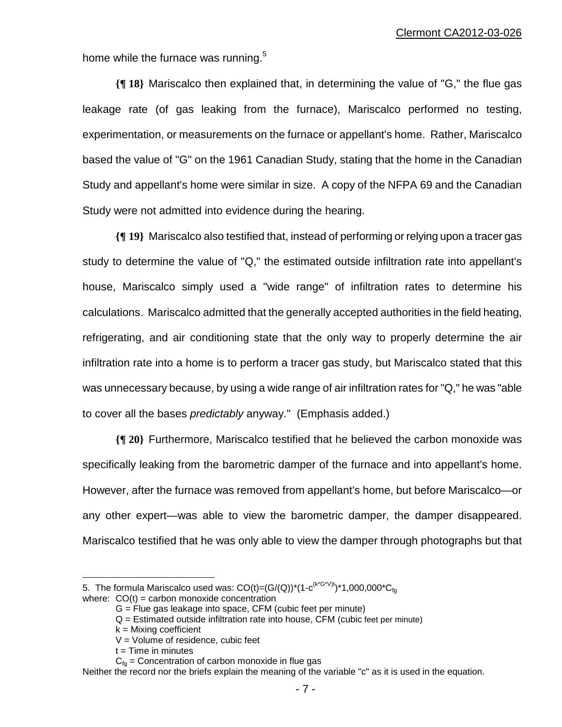home while the furnace was running.<sup>5</sup>

**{¶ 18}** Mariscalco then explained that, in determining the value of "G," the flue gas leakage rate (of gas leaking from the furnace), Mariscalco performed no testing, experimentation, or measurements on the furnace or appellant's home. Rather, Mariscalco based the value of "G" on the 1961 Canadian Study, stating that the home in the Canadian Study and appellant's home were similar in size. A copy of the NFPA 69 and the Canadian Study were not admitted into evidence during the hearing.

**{¶ 19}** Mariscalco also testified that, instead of performing or relying upon a tracer gas study to determine the value of "Q," the estimated outside infiltration rate into appellant's house, Mariscalco simply used a "wide range" of infiltration rates to determine his calculations. Mariscalco admitted that the generally accepted authorities in the field heating, refrigerating, and air conditioning state that the only way to properly determine the air infiltration rate into a home is to perform a tracer gas study, but Mariscalco stated that this was unnecessary because, by using a wide range of air infiltration rates for "Q," he was "able to cover all the bases *predictably* anyway." (Emphasis added.)

**{¶ 20}** Furthermore, Mariscalco testified that he believed the carbon monoxide was specifically leaking from the barometric damper of the furnace and into appellant's home. However, after the furnace was removed from appellant's home, but before Mariscalco—or any other expert—was able to view the barometric damper, the damper disappeared. Mariscalco testified that he was only able to view the damper through photographs but that

5. The formula Mariscalco used was:  $CO(t)=(G/(Q))^{*}(1-c^{(k^{*}G^{*}V)t})^{*}1,000,000^{*}C_{fq}$ 

 $\overline{a}$ 

where:  $CO(t) =$  carbon monoxide concentration

G = Flue gas leakage into space, CFM (cubic feet per minute)

 $Q =$  Estimated outside infiltration rate into house, CFM (cubic feet per minute)

 $k =$  Mixing coefficient

 $V =$  Volume of residence, cubic feet

 $t =$  Time in minutes

 $C_{fa}$  = Concentration of carbon monoxide in flue gas

Neither the record nor the briefs explain the meaning of the variable "c" as it is used in the equation.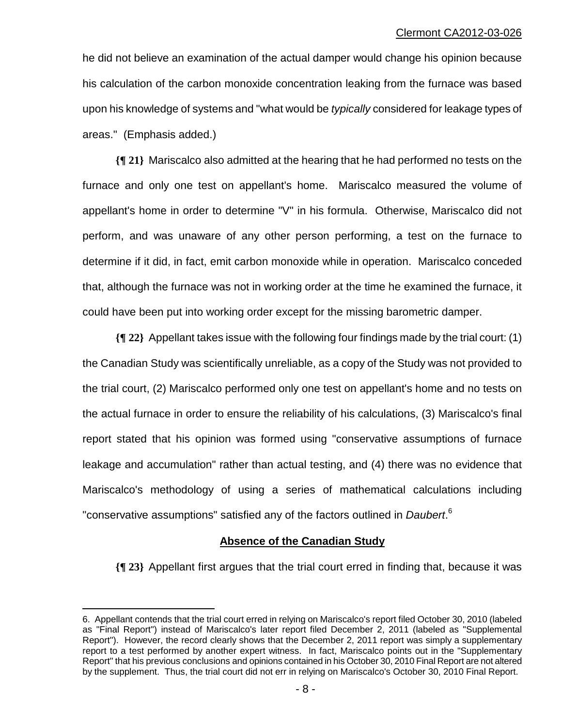he did not believe an examination of the actual damper would change his opinion because his calculation of the carbon monoxide concentration leaking from the furnace was based upon his knowledge of systems and "what would be *typically* considered for leakage types of areas." (Emphasis added.)

**{¶ 21}** Mariscalco also admitted at the hearing that he had performed no tests on the furnace and only one test on appellant's home. Mariscalco measured the volume of appellant's home in order to determine "V" in his formula. Otherwise, Mariscalco did not perform, and was unaware of any other person performing, a test on the furnace to determine if it did, in fact, emit carbon monoxide while in operation. Mariscalco conceded that, although the furnace was not in working order at the time he examined the furnace, it could have been put into working order except for the missing barometric damper.

**{¶ 22}** Appellant takes issue with the following four findings made by the trial court: (1) the Canadian Study was scientifically unreliable, as a copy of the Study was not provided to the trial court, (2) Mariscalco performed only one test on appellant's home and no tests on the actual furnace in order to ensure the reliability of his calculations, (3) Mariscalco's final report stated that his opinion was formed using "conservative assumptions of furnace leakage and accumulation" rather than actual testing, and (4) there was no evidence that Mariscalco's methodology of using a series of mathematical calculations including "conservative assumptions" satisfied any of the factors outlined in *Daubert*. 6

### **Absence of the Canadian Study**

**{¶ 23}** Appellant first argues that the trial court erred in finding that, because it was

<sup>6.</sup> Appellant contends that the trial court erred in relying on Mariscalco's report filed October 30, 2010 (labeled as "Final Report") instead of Mariscalco's later report filed December 2, 2011 (labeled as "Supplemental Report"). However, the record clearly shows that the December 2, 2011 report was simply a supplementary report to a test performed by another expert witness. In fact, Mariscalco points out in the "Supplementary Report" that his previous conclusions and opinions contained in his October 30, 2010 Final Report are not altered by the supplement. Thus, the trial court did not err in relying on Mariscalco's October 30, 2010 Final Report.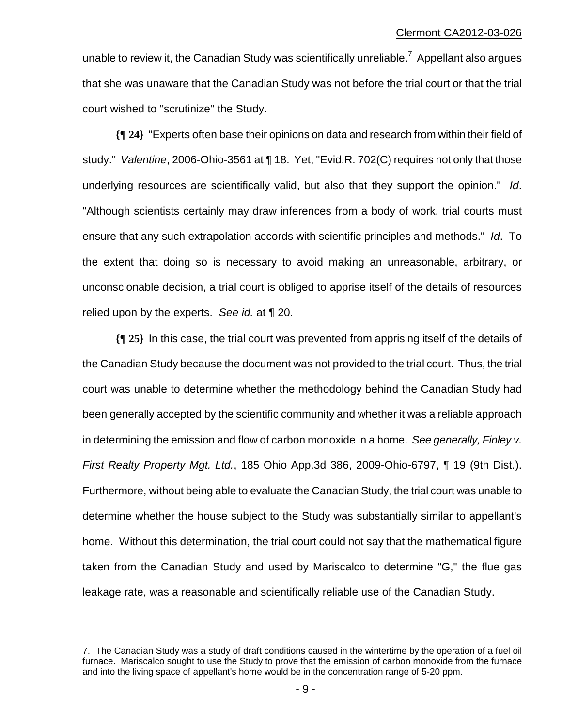unable to review it, the Canadian Study was scientifically unreliable.<sup>7</sup> Appellant also argues that she was unaware that the Canadian Study was not before the trial court or that the trial court wished to "scrutinize" the Study.

**{¶ 24}** "Experts often base their opinions on data and research from within their field of study." *Valentine*, 2006-Ohio-3561 at ¶ 18. Yet, "Evid.R. 702(C) requires not only that those underlying resources are scientifically valid, but also that they support the opinion." *Id*. "Although scientists certainly may draw inferences from a body of work, trial courts must ensure that any such extrapolation accords with scientific principles and methods." *Id*. To the extent that doing so is necessary to avoid making an unreasonable, arbitrary, or unconscionable decision, a trial court is obliged to apprise itself of the details of resources relied upon by the experts. *See id.* at ¶ 20.

**{¶ 25}** In this case, the trial court was prevented from apprising itself of the details of the Canadian Study because the document was not provided to the trial court. Thus, the trial court was unable to determine whether the methodology behind the Canadian Study had been generally accepted by the scientific community and whether it was a reliable approach in determining the emission and flow of carbon monoxide in a home. *See generally, Finley v. First Realty Property Mgt. Ltd.*, 185 Ohio App.3d 386, 2009-Ohio-6797, ¶ 19 (9th Dist.). Furthermore, without being able to evaluate the Canadian Study, the trial court was unable to determine whether the house subject to the Study was substantially similar to appellant's home. Without this determination, the trial court could not say that the mathematical figure taken from the Canadian Study and used by Mariscalco to determine "G," the flue gas leakage rate, was a reasonable and scientifically reliable use of the Canadian Study.

1

<sup>7.</sup> The Canadian Study was a study of draft conditions caused in the wintertime by the operation of a fuel oil furnace. Mariscalco sought to use the Study to prove that the emission of carbon monoxide from the furnace and into the living space of appellant's home would be in the concentration range of 5-20 ppm.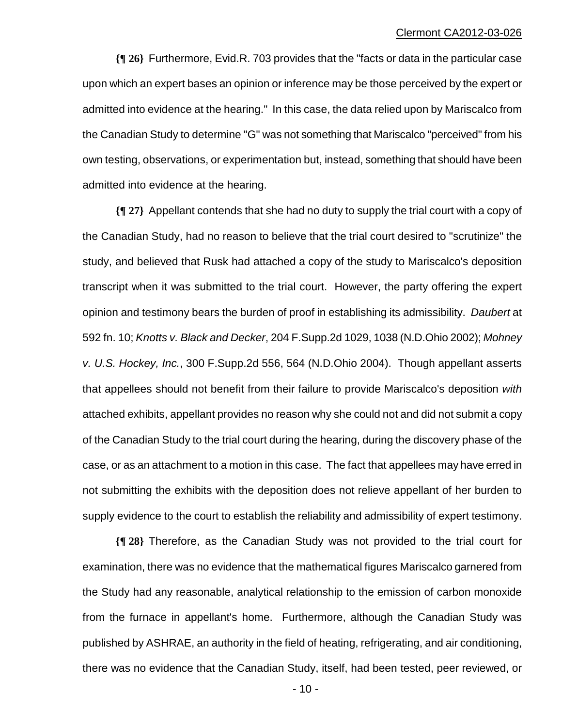**{¶ 26}** Furthermore, Evid.R. 703 provides that the "facts or data in the particular case upon which an expert bases an opinion or inference may be those perceived by the expert or admitted into evidence at the hearing." In this case, the data relied upon by Mariscalco from the Canadian Study to determine "G" was not something that Mariscalco "perceived" from his own testing, observations, or experimentation but, instead, something that should have been admitted into evidence at the hearing.

**{¶ 27}** Appellant contends that she had no duty to supply the trial court with a copy of the Canadian Study, had no reason to believe that the trial court desired to "scrutinize" the study, and believed that Rusk had attached a copy of the study to Mariscalco's deposition transcript when it was submitted to the trial court. However, the party offering the expert opinion and testimony bears the burden of proof in establishing its admissibility. *Daubert* at 592 fn. 10; *Knotts v. Black and Decker*, 204 F.Supp.2d 1029, 1038 (N.D.Ohio 2002); *Mohney v. U.S. Hockey, Inc.*, 300 F.Supp.2d 556, 564 (N.D.Ohio 2004). Though appellant asserts that appellees should not benefit from their failure to provide Mariscalco's deposition *with* attached exhibits, appellant provides no reason why she could not and did not submit a copy of the Canadian Study to the trial court during the hearing, during the discovery phase of the case, or as an attachment to a motion in this case. The fact that appellees may have erred in not submitting the exhibits with the deposition does not relieve appellant of her burden to supply evidence to the court to establish the reliability and admissibility of expert testimony.

**{¶ 28}** Therefore, as the Canadian Study was not provided to the trial court for examination, there was no evidence that the mathematical figures Mariscalco garnered from the Study had any reasonable, analytical relationship to the emission of carbon monoxide from the furnace in appellant's home. Furthermore, although the Canadian Study was published by ASHRAE, an authority in the field of heating, refrigerating, and air conditioning, there was no evidence that the Canadian Study, itself, had been tested, peer reviewed, or

 $- 10 -$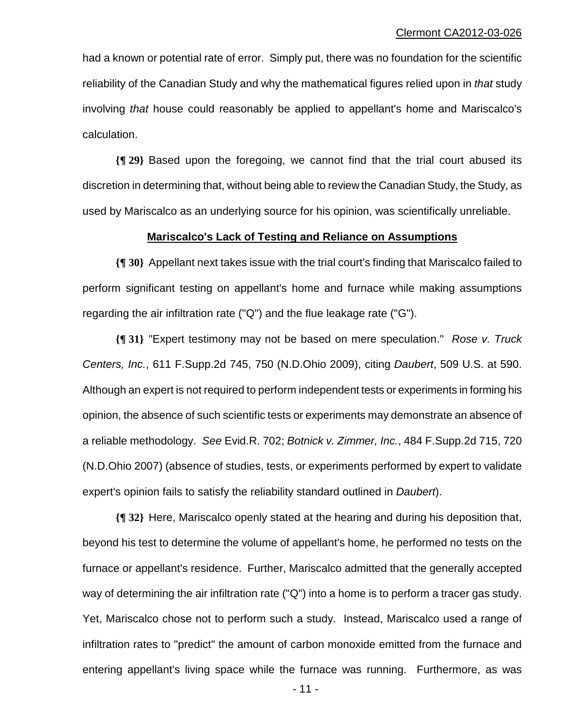had a known or potential rate of error. Simply put, there was no foundation for the scientific reliability of the Canadian Study and why the mathematical figures relied upon in *that* study involving *that* house could reasonably be applied to appellant's home and Mariscalco's calculation.

**{¶ 29}** Based upon the foregoing, we cannot find that the trial court abused its discretion in determining that, without being able to review the Canadian Study, the Study, as used by Mariscalco as an underlying source for his opinion, was scientifically unreliable.

#### **Mariscalco's Lack of Testing and Reliance on Assumptions**

**{¶ 30}** Appellant next takes issue with the trial court's finding that Mariscalco failed to perform significant testing on appellant's home and furnace while making assumptions regarding the air infiltration rate ("Q") and the flue leakage rate ("G").

**{¶ 31}** "Expert testimony may not be based on mere speculation." *Rose v. Truck Centers, Inc.*, 611 F.Supp.2d 745, 750 (N.D.Ohio 2009), citing *Daubert*, 509 U.S. at 590. Although an expert is not required to perform independent tests or experiments in forming his opinion, the absence of such scientific tests or experiments may demonstrate an absence of a reliable methodology. *See* Evid.R. 702; *Botnick v. Zimmer, Inc.*, 484 F.Supp.2d 715, 720 (N.D.Ohio 2007) (absence of studies, tests, or experiments performed by expert to validate expert's opinion fails to satisfy the reliability standard outlined in *Daubert*).

**{¶ 32}** Here, Mariscalco openly stated at the hearing and during his deposition that, beyond his test to determine the volume of appellant's home, he performed no tests on the furnace or appellant's residence. Further, Mariscalco admitted that the generally accepted way of determining the air infiltration rate ("Q") into a home is to perform a tracer gas study. Yet, Mariscalco chose not to perform such a study. Instead, Mariscalco used a range of infiltration rates to "predict" the amount of carbon monoxide emitted from the furnace and entering appellant's living space while the furnace was running. Furthermore, as was

 $- 11 -$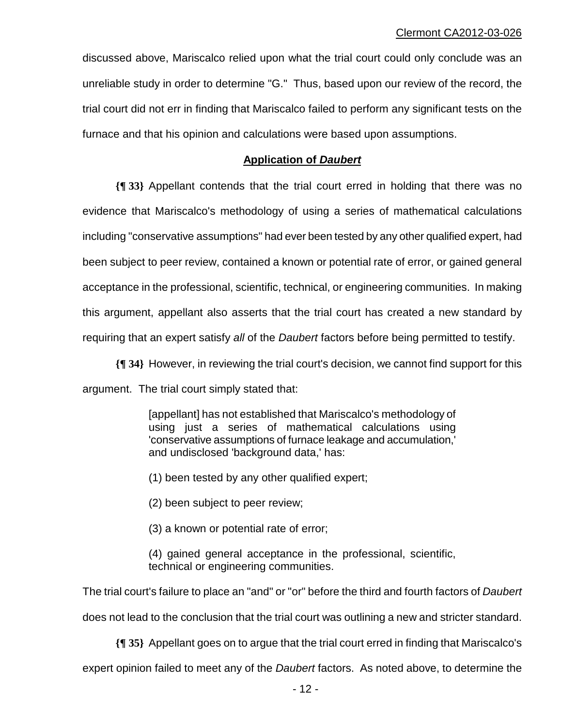discussed above, Mariscalco relied upon what the trial court could only conclude was an unreliable study in order to determine "G." Thus, based upon our review of the record, the trial court did not err in finding that Mariscalco failed to perform any significant tests on the furnace and that his opinion and calculations were based upon assumptions.

## **Application of** *Daubert*

**{¶ 33}** Appellant contends that the trial court erred in holding that there was no evidence that Mariscalco's methodology of using a series of mathematical calculations including "conservative assumptions" had ever been tested by any other qualified expert, had been subject to peer review, contained a known or potential rate of error, or gained general acceptance in the professional, scientific, technical, or engineering communities. In making this argument, appellant also asserts that the trial court has created a new standard by requiring that an expert satisfy *all* of the *Daubert* factors before being permitted to testify.

**{¶ 34}** However, in reviewing the trial court's decision, we cannot find support for this argument. The trial court simply stated that:

> [appellant] has not established that Mariscalco's methodology of using just a series of mathematical calculations using 'conservative assumptions of furnace leakage and accumulation,' and undisclosed 'background data,' has:

(1) been tested by any other qualified expert;

(2) been subject to peer review;

(3) a known or potential rate of error;

(4) gained general acceptance in the professional, scientific, technical or engineering communities.

The trial court's failure to place an "and" or "or" before the third and fourth factors of *Daubert*

does not lead to the conclusion that the trial court was outlining a new and stricter standard.

**{¶ 35}** Appellant goes on to argue that the trial court erred in finding that Mariscalco's

expert opinion failed to meet any of the *Daubert* factors. As noted above, to determine the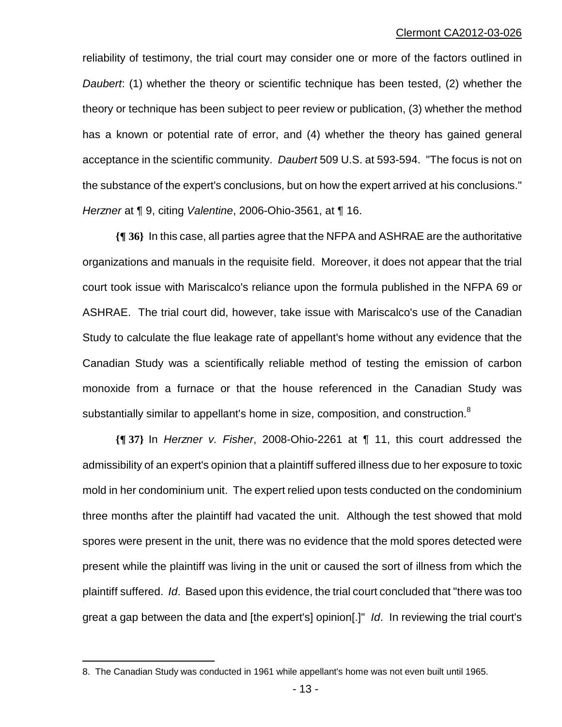reliability of testimony, the trial court may consider one or more of the factors outlined in *Daubert*: (1) whether the theory or scientific technique has been tested, (2) whether the theory or technique has been subject to peer review or publication, (3) whether the method has a known or potential rate of error, and (4) whether the theory has gained general acceptance in the scientific community. *Daubert* 509 U.S. at 593-594. "The focus is not on the substance of the expert's conclusions, but on how the expert arrived at his conclusions." *Herzner* at ¶ 9, citing *Valentine*, 2006-Ohio-3561, at ¶ 16.

**{¶ 36}** In this case, all parties agree that the NFPA and ASHRAE are the authoritative organizations and manuals in the requisite field. Moreover, it does not appear that the trial court took issue with Mariscalco's reliance upon the formula published in the NFPA 69 or ASHRAE. The trial court did, however, take issue with Mariscalco's use of the Canadian Study to calculate the flue leakage rate of appellant's home without any evidence that the Canadian Study was a scientifically reliable method of testing the emission of carbon monoxide from a furnace or that the house referenced in the Canadian Study was substantially similar to appellant's home in size, composition, and construction.<sup>8</sup>

**{¶ 37}** In *Herzner v. Fisher*, 2008-Ohio-2261 at ¶ 11, this court addressed the admissibility of an expert's opinion that a plaintiff suffered illness due to her exposure to toxic mold in her condominium unit. The expert relied upon tests conducted on the condominium three months after the plaintiff had vacated the unit. Although the test showed that mold spores were present in the unit, there was no evidence that the mold spores detected were present while the plaintiff was living in the unit or caused the sort of illness from which the plaintiff suffered. *Id*. Based upon this evidence, the trial court concluded that "there was too great a gap between the data and [the expert's] opinion[.]" *Id*. In reviewing the trial court's

<sup>8.</sup> The Canadian Study was conducted in 1961 while appellant's home was not even built until 1965.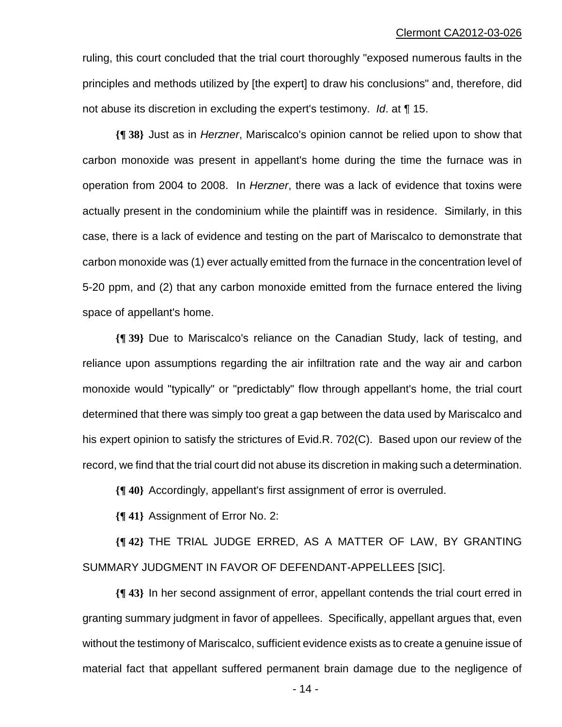ruling, this court concluded that the trial court thoroughly "exposed numerous faults in the principles and methods utilized by [the expert] to draw his conclusions" and, therefore, did not abuse its discretion in excluding the expert's testimony. *Id*. at ¶ 15.

**{¶ 38}** Just as in *Herzner*, Mariscalco's opinion cannot be relied upon to show that carbon monoxide was present in appellant's home during the time the furnace was in operation from 2004 to 2008. In *Herzner*, there was a lack of evidence that toxins were actually present in the condominium while the plaintiff was in residence. Similarly, in this case, there is a lack of evidence and testing on the part of Mariscalco to demonstrate that carbon monoxide was (1) ever actually emitted from the furnace in the concentration level of 5-20 ppm, and (2) that any carbon monoxide emitted from the furnace entered the living space of appellant's home.

**{¶ 39}** Due to Mariscalco's reliance on the Canadian Study, lack of testing, and reliance upon assumptions regarding the air infiltration rate and the way air and carbon monoxide would "typically" or "predictably" flow through appellant's home, the trial court determined that there was simply too great a gap between the data used by Mariscalco and his expert opinion to satisfy the strictures of Evid.R. 702(C). Based upon our review of the record, we find that the trial court did not abuse its discretion in making such a determination.

**{¶ 40}** Accordingly, appellant's first assignment of error is overruled.

**{¶ 41}** Assignment of Error No. 2:

**{¶ 42}** THE TRIAL JUDGE ERRED, AS A MATTER OF LAW, BY GRANTING SUMMARY JUDGMENT IN FAVOR OF DEFENDANT-APPELLEES [SIC].

**{¶ 43}** In her second assignment of error, appellant contends the trial court erred in granting summary judgment in favor of appellees. Specifically, appellant argues that, even without the testimony of Mariscalco, sufficient evidence exists as to create a genuine issue of material fact that appellant suffered permanent brain damage due to the negligence of

 $-14$  -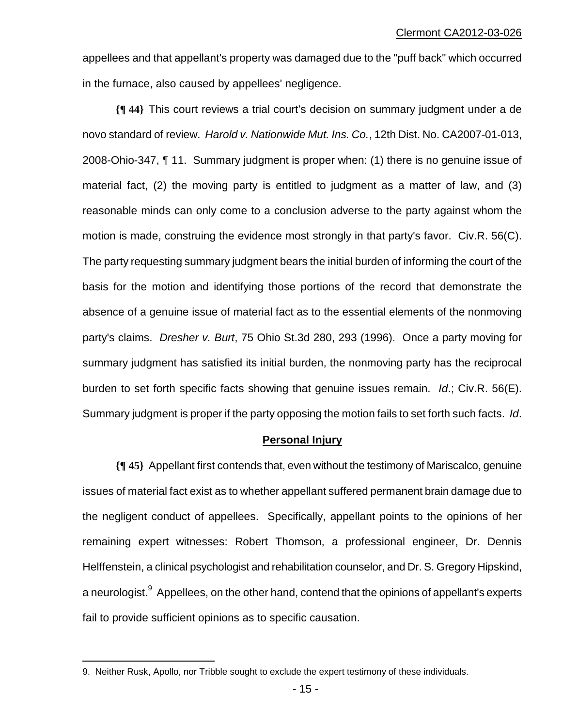appellees and that appellant's property was damaged due to the "puff back" which occurred in the furnace, also caused by appellees' negligence.

**{¶ 44}** This court reviews a trial court's decision on summary judgment under a de novo standard of review. *Harold v. Nationwide Mut. Ins. Co.*, 12th Dist. No. CA2007-01-013, 2008-Ohio-347, ¶ 11. Summary judgment is proper when: (1) there is no genuine issue of material fact, (2) the moving party is entitled to judgment as a matter of law, and (3) reasonable minds can only come to a conclusion adverse to the party against whom the motion is made, construing the evidence most strongly in that party's favor. Civ.R. 56(C). The party requesting summary judgment bears the initial burden of informing the court of the basis for the motion and identifying those portions of the record that demonstrate the absence of a genuine issue of material fact as to the essential elements of the nonmoving party's claims. *Dresher v. Burt*, 75 Ohio St.3d 280, 293 (1996). Once a party moving for summary judgment has satisfied its initial burden, the nonmoving party has the reciprocal burden to set forth specific facts showing that genuine issues remain. *Id*.; Civ.R. 56(E). Summary judgment is proper if the party opposing the motion fails to set forth such facts. *Id*.

#### **Personal Injury**

**{¶ 45}** Appellant first contends that, even without the testimony of Mariscalco, genuine issues of material fact exist as to whether appellant suffered permanent brain damage due to the negligent conduct of appellees. Specifically, appellant points to the opinions of her remaining expert witnesses: Robert Thomson, a professional engineer, Dr. Dennis Helffenstein, a clinical psychologist and rehabilitation counselor, and Dr. S. Gregory Hipskind, a neurologist. <sup>9</sup> Appellees, on the other hand, contend that the opinions of appellant's experts fail to provide sufficient opinions as to specific causation.

<sup>9.</sup> Neither Rusk, Apollo, nor Tribble sought to exclude the expert testimony of these individuals.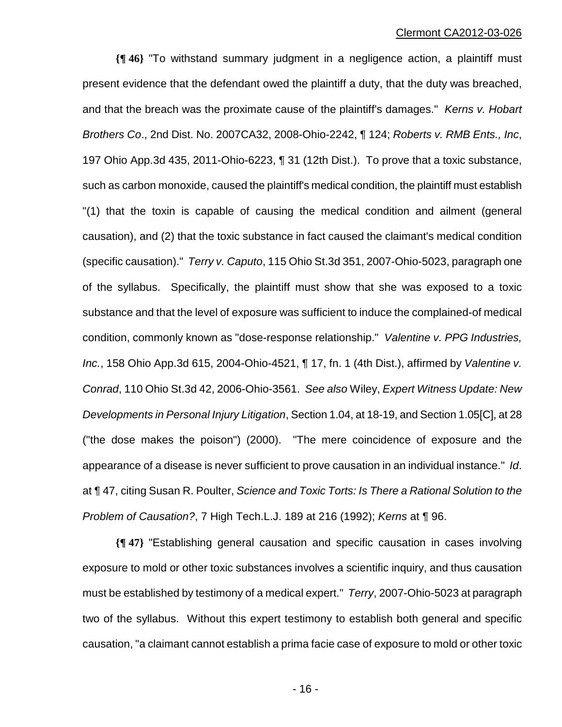**{¶ 46}** "To withstand summary judgment in a negligence action, a plaintiff must present evidence that the defendant owed the plaintiff a duty, that the duty was breached, and that the breach was the proximate cause of the plaintiff's damages." *Kerns v. Hobart Brothers Co*., 2nd Dist. No. 2007CA32, 2008-Ohio-2242, ¶ 124; *Roberts v. RMB Ents., Inc*, 197 Ohio App.3d 435, 2011-Ohio-6223, ¶ 31 (12th Dist.). To prove that a toxic substance, such as carbon monoxide, caused the plaintiff's medical condition, the plaintiff must establish "(1) that the toxin is capable of causing the medical condition and ailment (general causation), and (2) that the toxic substance in fact caused the claimant's medical condition (specific causation)." *Terry v. Caputo*, 115 Ohio St.3d 351, 2007-Ohio-5023, paragraph one of the syllabus. Specifically, the plaintiff must show that she was exposed to a toxic substance and that the level of exposure was sufficient to induce the complained-of medical condition, commonly known as "dose-response relationship." *Valentine v. PPG Industries, Inc.*, 158 Ohio App.3d 615, 2004-Ohio-4521, ¶ 17, fn. 1 (4th Dist.), affirmed by *Valentine v. Conrad*, 110 Ohio St.3d 42, 2006-Ohio-3561. *See also* Wiley, *Expert Witness Update: New Developments in Personal Injury Litigation*, Section 1.04, at 18-19, and Section 1.05[C], at 28 ("the dose makes the poison") (2000). "The mere coincidence of exposure and the appearance of a disease is never sufficient to prove causation in an individual instance." *Id*. at ¶ 47, citing Susan R. Poulter, *Science and Toxic Torts: Is There a Rational Solution to the Problem of Causation?*, 7 High Tech.L.J. 189 at 216 (1992); *Kerns* at ¶ 96.

**{¶ 47}** "Establishing general causation and specific causation in cases involving exposure to mold or other toxic substances involves a scientific inquiry, and thus causation must be established by testimony of a medical expert." *Terry*, 2007-Ohio-5023 at paragraph two of the syllabus. Without this expert testimony to establish both general and specific causation, "a claimant cannot establish a prima facie case of exposure to mold or other toxic

 $- 16 -$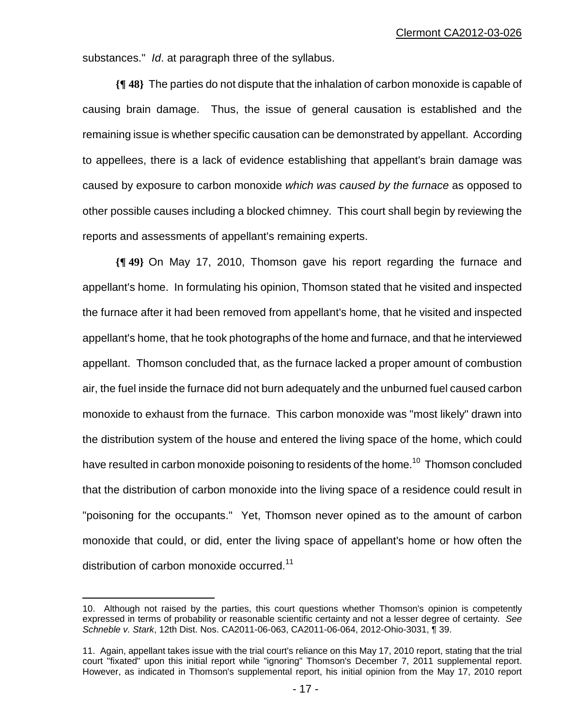substances." *Id*. at paragraph three of the syllabus.

**{¶ 48}** The parties do not dispute that the inhalation of carbon monoxide is capable of causing brain damage. Thus, the issue of general causation is established and the remaining issue is whether specific causation can be demonstrated by appellant. According to appellees, there is a lack of evidence establishing that appellant's brain damage was caused by exposure to carbon monoxide *which was caused by the furnace* as opposed to other possible causes including a blocked chimney. This court shall begin by reviewing the reports and assessments of appellant's remaining experts.

**{¶ 49}** On May 17, 2010, Thomson gave his report regarding the furnace and appellant's home. In formulating his opinion, Thomson stated that he visited and inspected the furnace after it had been removed from appellant's home, that he visited and inspected appellant's home, that he took photographs of the home and furnace, and that he interviewed appellant. Thomson concluded that, as the furnace lacked a proper amount of combustion air, the fuel inside the furnace did not burn adequately and the unburned fuel caused carbon monoxide to exhaust from the furnace. This carbon monoxide was "most likely" drawn into the distribution system of the house and entered the living space of the home, which could have resulted in carbon monoxide poisoning to residents of the home.<sup>10</sup> Thomson concluded that the distribution of carbon monoxide into the living space of a residence could result in "poisoning for the occupants." Yet, Thomson never opined as to the amount of carbon monoxide that could, or did, enter the living space of appellant's home or how often the distribution of carbon monoxide occurred.<sup>11</sup>

<sup>10.</sup> Although not raised by the parties, this court questions whether Thomson's opinion is competently expressed in terms of probability or reasonable scientific certainty and not a lesser degree of certainty. *See Schneble v. Stark*, 12th Dist. Nos. CA2011-06-063, CA2011-06-064, 2012-Ohio-3031, ¶ 39.

<sup>11.</sup> Again, appellant takes issue with the trial court's reliance on this May 17, 2010 report, stating that the trial court "fixated" upon this initial report while "ignoring" Thomson's December 7, 2011 supplemental report. However, as indicated in Thomson's supplemental report, his initial opinion from the May 17, 2010 report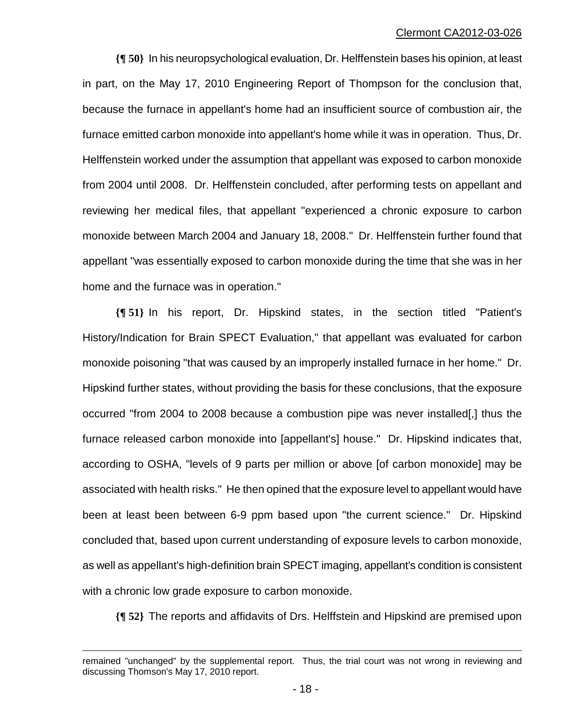**{¶ 50}** In his neuropsychological evaluation, Dr. Helffenstein bases his opinion, at least in part, on the May 17, 2010 Engineering Report of Thompson for the conclusion that, because the furnace in appellant's home had an insufficient source of combustion air, the furnace emitted carbon monoxide into appellant's home while it was in operation. Thus, Dr. Helffenstein worked under the assumption that appellant was exposed to carbon monoxide from 2004 until 2008. Dr. Helffenstein concluded, after performing tests on appellant and reviewing her medical files, that appellant "experienced a chronic exposure to carbon monoxide between March 2004 and January 18, 2008." Dr. Helffenstein further found that appellant "was essentially exposed to carbon monoxide during the time that she was in her home and the furnace was in operation."

**{¶ 51}** In his report, Dr. Hipskind states, in the section titled "Patient's History/Indication for Brain SPECT Evaluation," that appellant was evaluated for carbon monoxide poisoning "that was caused by an improperly installed furnace in her home." Dr. Hipskind further states, without providing the basis for these conclusions, that the exposure occurred "from 2004 to 2008 because a combustion pipe was never installed[,] thus the furnace released carbon monoxide into [appellant's] house." Dr. Hipskind indicates that, according to OSHA, "levels of 9 parts per million or above [of carbon monoxide] may be associated with health risks." He then opined that the exposure level to appellant would have been at least been between 6-9 ppm based upon "the current science." Dr. Hipskind concluded that, based upon current understanding of exposure levels to carbon monoxide, as well as appellant's high-definition brain SPECT imaging, appellant's condition is consistent with a chronic low grade exposure to carbon monoxide.

**{¶ 52}** The reports and affidavits of Drs. Helffstein and Hipskind are premised upon

 $\overline{a}$ 

remained "unchanged" by the supplemental report. Thus, the trial court was not wrong in reviewing and discussing Thomson's May 17, 2010 report.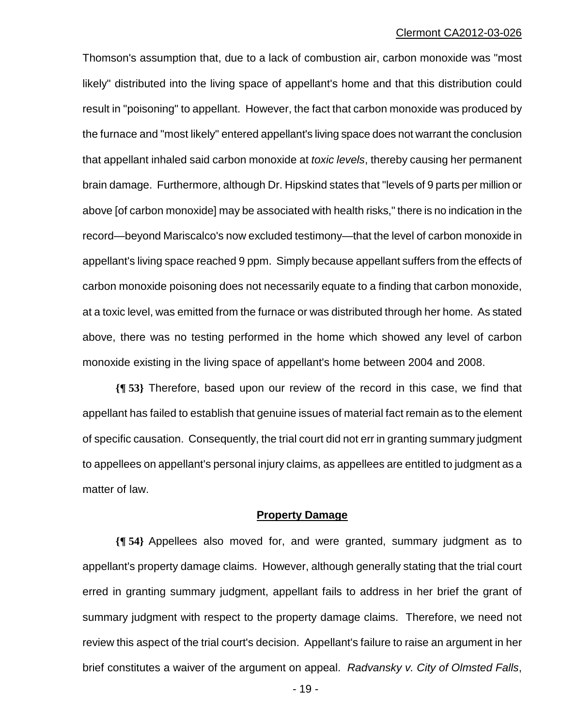Thomson's assumption that, due to a lack of combustion air, carbon monoxide was "most likely" distributed into the living space of appellant's home and that this distribution could result in "poisoning" to appellant. However, the fact that carbon monoxide was produced by the furnace and "most likely" entered appellant's living space does not warrant the conclusion that appellant inhaled said carbon monoxide at *toxic levels*, thereby causing her permanent brain damage. Furthermore, although Dr. Hipskind states that "levels of 9 parts per million or above [of carbon monoxide] may be associated with health risks," there is no indication in the record—beyond Mariscalco's now excluded testimony—that the level of carbon monoxide in appellant's living space reached 9 ppm. Simply because appellant suffers from the effects of carbon monoxide poisoning does not necessarily equate to a finding that carbon monoxide, at a toxic level, was emitted from the furnace or was distributed through her home. As stated above, there was no testing performed in the home which showed any level of carbon monoxide existing in the living space of appellant's home between 2004 and 2008.

**{¶ 53}** Therefore, based upon our review of the record in this case, we find that appellant has failed to establish that genuine issues of material fact remain as to the element of specific causation. Consequently, the trial court did not err in granting summary judgment to appellees on appellant's personal injury claims, as appellees are entitled to judgment as a matter of law.

#### **Property Damage**

**{¶ 54}** Appellees also moved for, and were granted, summary judgment as to appellant's property damage claims. However, although generally stating that the trial court erred in granting summary judgment, appellant fails to address in her brief the grant of summary judgment with respect to the property damage claims. Therefore, we need not review this aspect of the trial court's decision. Appellant's failure to raise an argument in her brief constitutes a waiver of the argument on appeal. *Radvansky v. City of Olmsted Falls*,

 $- 19 -$